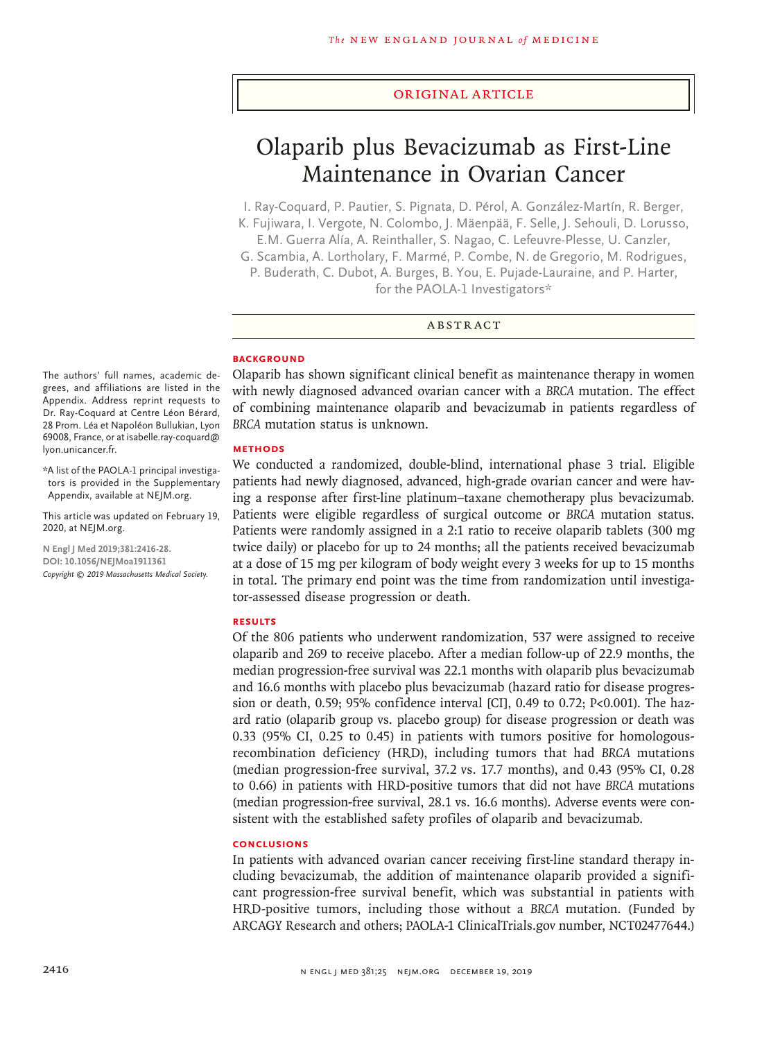#### Original Article

# Olaparib plus Bevacizumab as First-Line Maintenance in Ovarian Cancer

I. Ray-Coquard, P. Pautier, S. Pignata, D. Pérol, A. González-Martín, R. Berger, K. Fujiwara, I. Vergote, N. Colombo, J. Mäenpää, F. Selle, J. Sehouli, D. Lorusso,

E.M. Guerra Alía, A. Reinthaller, S. Nagao, C. Lefeuvre-Plesse, U. Canzler,

G. Scambia, A. Lortholary, F. Marmé, P. Combe, N. de Gregorio, M. Rodrigues, P. Buderath, C. Dubot, A. Burges, B. You, E. Pujade-Lauraine, and P. Harter, for the PAOLA-1 Investigators\*

#### ABSTRACT

## **BACKGROUND**

The authors' full names, academic degrees, and affiliations are listed in the Appendix. Address reprint requests to Dr. Ray-Coquard at Centre Léon Bérard, 28 Prom. Léa et Napoléon Bullukian, Lyon 69008, France, or at isabelle.ray-coquard@ lyon.unicancer.fr.

\*A list of the PAOLA-1 principal investigators is provided in the Supplementary Appendix, available at NEJM.org.

This article was updated on February 19, 2020, at NEJM.org.

**N Engl J Med 2019;381:2416-28. DOI: 10.1056/NEJMoa1911361** *Copyright © 2019 Massachusetts Medical Society.* Olaparib has shown significant clinical benefit as maintenance therapy in women with newly diagnosed advanced ovarian cancer with a *BRCA* mutation. The effect of combining maintenance olaparib and bevacizumab in patients regardless of *BRCA* mutation status is unknown.

#### **METHODS**

We conducted a randomized, double-blind, international phase 3 trial. Eligible patients had newly diagnosed, advanced, high-grade ovarian cancer and were having a response after first-line platinum–taxane chemotherapy plus bevacizumab. Patients were eligible regardless of surgical outcome or *BRCA* mutation status. Patients were randomly assigned in a 2:1 ratio to receive olaparib tablets (300 mg twice daily) or placebo for up to 24 months; all the patients received bevacizumab at a dose of 15 mg per kilogram of body weight every 3 weeks for up to 15 months in total. The primary end point was the time from randomization until investigator-assessed disease progression or death.

### **RESULTS**

Of the 806 patients who underwent randomization, 537 were assigned to receive olaparib and 269 to receive placebo. After a median follow-up of 22.9 months, the median progression-free survival was 22.1 months with olaparib plus bevacizumab and 16.6 months with placebo plus bevacizumab (hazard ratio for disease progression or death, 0.59; 95% confidence interval [CI], 0.49 to 0.72;  $P<0.001$ ). The hazard ratio (olaparib group vs. placebo group) for disease progression or death was 0.33 (95% CI, 0.25 to 0.45) in patients with tumors positive for homologousrecombination deficiency (HRD), including tumors that had *BRCA* mutations (median progression-free survival, 37.2 vs. 17.7 months), and 0.43 (95% CI, 0.28 to 0.66) in patients with HRD-positive tumors that did not have *BRCA* mutations (median progression-free survival, 28.1 vs. 16.6 months). Adverse events were consistent with the established safety profiles of olaparib and bevacizumab.

# **CONCLUSIONS**

In patients with advanced ovarian cancer receiving first-line standard therapy including bevacizumab, the addition of maintenance olaparib provided a significant progression-free survival benefit, which was substantial in patients with HRD-positive tumors, including those without a *BRCA* mutation. (Funded by ARCAGY Research and others; PAOLA-1 ClinicalTrials.gov number, NCT02477644.)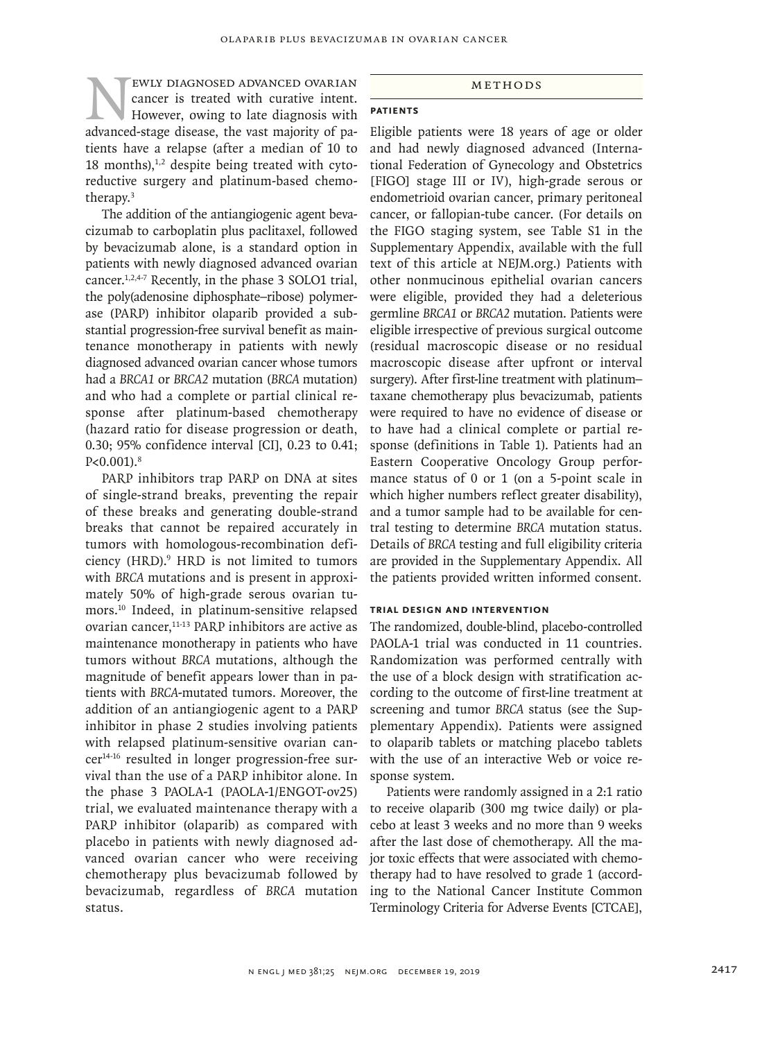# EWLY DIAGNOSED ADVANCED OVARIAN<br>
cancer is treated with curative intent.<br>
However, owing to late diagnosis with<br>
advanced-stage disease, the vast majority of pacancer is treated with curative intent. However, owing to late diagnosis with advanced-stage disease, the vast majority of patients have a relapse (after a median of 10 to 18 months), $^{1,2}$  despite being treated with cytoreductive surgery and platinum-based chemotherapy.3

The addition of the antiangiogenic agent bevacizumab to carboplatin plus paclitaxel, followed by bevacizumab alone, is a standard option in patients with newly diagnosed advanced ovarian cancer.1,2,4-7 Recently, in the phase 3 SOLO1 trial, the poly(adenosine diphosphate–ribose) polymerase (PARP) inhibitor olaparib provided a substantial progression-free survival benefit as maintenance monotherapy in patients with newly diagnosed advanced ovarian cancer whose tumors had a *BRCA1* or *BRCA2* mutation (*BRCA* mutation) and who had a complete or partial clinical response after platinum-based chemotherapy (hazard ratio for disease progression or death, 0.30; 95% confidence interval [CI], 0.23 to 0.41;  $P < 0.001$ .  $8$ 

PARP inhibitors trap PARP on DNA at sites of single-strand breaks, preventing the repair of these breaks and generating double-strand breaks that cannot be repaired accurately in tumors with homologous-recombination deficiency (HRD).<sup>9</sup> HRD is not limited to tumors with *BRCA* mutations and is present in approximately 50% of high-grade serous ovarian tumors.10 Indeed, in platinum-sensitive relapsed ovarian cancer,<sup>11-13</sup> PARP inhibitors are active as maintenance monotherapy in patients who have tumors without *BRCA* mutations, although the magnitude of benefit appears lower than in patients with *BRCA*-mutated tumors. Moreover, the addition of an antiangiogenic agent to a PARP inhibitor in phase 2 studies involving patients with relapsed platinum-sensitive ovarian cancer14-16 resulted in longer progression-free survival than the use of a PARP inhibitor alone. In the phase 3 PAOLA-1 (PAOLA-1/ENGOT-ov25) trial, we evaluated maintenance therapy with a PARP inhibitor (olaparib) as compared with placebo in patients with newly diagnosed advanced ovarian cancer who were receiving chemotherapy plus bevacizumab followed by bevacizumab, regardless of *BRCA* mutation status.

#### Methods

# **Patients**

Eligible patients were 18 years of age or older and had newly diagnosed advanced (International Federation of Gynecology and Obstetrics [FIGO] stage III or IV), high-grade serous or endometrioid ovarian cancer, primary peritoneal cancer, or fallopian-tube cancer. (For details on the FIGO staging system, see Table S1 in the Supplementary Appendix, available with the full text of this article at NEJM.org.) Patients with other nonmucinous epithelial ovarian cancers were eligible, provided they had a deleterious germline *BRCA1* or *BRCA2* mutation. Patients were eligible irrespective of previous surgical outcome (residual macroscopic disease or no residual macroscopic disease after upfront or interval surgery). After first-line treatment with platinum– taxane chemotherapy plus bevacizumab, patients were required to have no evidence of disease or to have had a clinical complete or partial response (definitions in Table 1). Patients had an Eastern Cooperative Oncology Group performance status of 0 or 1 (on a 5-point scale in which higher numbers reflect greater disability), and a tumor sample had to be available for central testing to determine *BRCA* mutation status. Details of *BRCA* testing and full eligibility criteria are provided in the Supplementary Appendix. All the patients provided written informed consent.

#### **Trial Design and Intervention**

The randomized, double-blind, placebo-controlled PAOLA-1 trial was conducted in 11 countries. Randomization was performed centrally with the use of a block design with stratification according to the outcome of first-line treatment at screening and tumor *BRCA* status (see the Supplementary Appendix). Patients were assigned to olaparib tablets or matching placebo tablets with the use of an interactive Web or voice response system.

Patients were randomly assigned in a 2:1 ratio to receive olaparib (300 mg twice daily) or placebo at least 3 weeks and no more than 9 weeks after the last dose of chemotherapy. All the major toxic effects that were associated with chemotherapy had to have resolved to grade 1 (according to the National Cancer Institute Common Terminology Criteria for Adverse Events [CTCAE],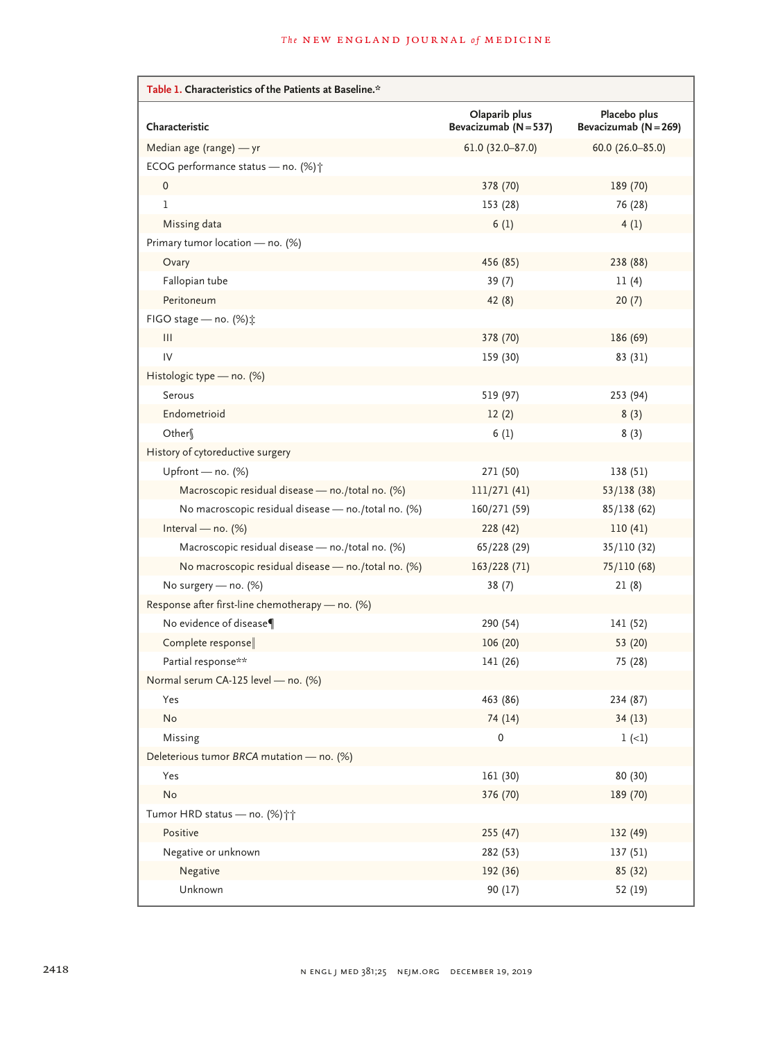| Table 1. Characteristics of the Patients at Baseline.* |                                        |                                       |  |  |  |  |
|--------------------------------------------------------|----------------------------------------|---------------------------------------|--|--|--|--|
| Characteristic                                         | Olaparib plus<br>Bevacizumab (N = 537) | Placebo plus<br>Bevacizumab (N = 269) |  |  |  |  |
| Median age (range) - yr                                | $61.0 (32.0 - 87.0)$                   | $60.0 (26.0 - 85.0)$                  |  |  |  |  |
| ECOG performance status - no. (%) +                    |                                        |                                       |  |  |  |  |
| 0                                                      | 378 (70)                               | 189 (70)                              |  |  |  |  |
| $\mathbf{1}$                                           | 153 (28)                               | 76 (28)                               |  |  |  |  |
| Missing data                                           | 6(1)                                   | 4(1)                                  |  |  |  |  |
| Primary tumor location - no. (%)                       |                                        |                                       |  |  |  |  |
| Ovary                                                  | 456 (85)                               | 238 (88)                              |  |  |  |  |
| Fallopian tube                                         | 39(7)                                  | 11(4)                                 |  |  |  |  |
| Peritoneum                                             | 42(8)                                  | 20(7)                                 |  |  |  |  |
| FIGO stage - no. (%) $\ddagger$                        |                                        |                                       |  |  |  |  |
| Ш                                                      | 378 (70)                               | 186 (69)                              |  |  |  |  |
| IV                                                     | 159 (30)                               | 83 (31)                               |  |  |  |  |
| Histologic type - no. (%)                              |                                        |                                       |  |  |  |  |
| Serous                                                 | 519 (97)                               | 253 (94)                              |  |  |  |  |
| Endometrioid                                           | 12(2)                                  | 8(3)                                  |  |  |  |  |
| Other                                                  | 6(1)                                   | 8(3)                                  |  |  |  |  |
| History of cytoreductive surgery                       |                                        |                                       |  |  |  |  |
| Upfront — no. $(\%)$                                   | 271 (50)                               | 138 (51)                              |  |  |  |  |
| Macroscopic residual disease - no./total no. (%)       | 111/271(41)                            | 53/138(38)                            |  |  |  |  |
| No macroscopic residual disease - no./total no. (%)    | 160/271 (59)                           | 85/138(62)                            |  |  |  |  |
| Interval — no. $(\%)$                                  | 228 (42)                               | 110(41)                               |  |  |  |  |
| Macroscopic residual disease - no./total no. (%)       | 65/228 (29)                            | 35/110 (32)                           |  |  |  |  |
| No macroscopic residual disease - no./total no. (%)    | 163/228 (71)                           | 75/110 (68)                           |  |  |  |  |
| No surgery - no. (%)                                   | 38(7)                                  | 21(8)                                 |  |  |  |  |
| Response after first-line chemotherapy - no. (%)       |                                        |                                       |  |  |  |  |
| No evidence of disease¶                                | 290 (54)                               | 141 (52)                              |  |  |  |  |
| Complete response                                      | 106(20)                                | 53 (20)                               |  |  |  |  |
| Partial response**                                     | 141 (26)                               | 75 (28)                               |  |  |  |  |
| Normal serum CA-125 level - no. (%)                    |                                        |                                       |  |  |  |  |
| Yes                                                    | 463 (86)                               | 234 (87)                              |  |  |  |  |
| No                                                     | 74 (14)                                | 34(13)                                |  |  |  |  |
| Missing                                                | 0                                      | $1 (-1)$                              |  |  |  |  |
| Deleterious tumor BRCA mutation - no. (%)              |                                        |                                       |  |  |  |  |
| Yes                                                    | 161 (30)                               | 80 (30)                               |  |  |  |  |
| No                                                     | 376 (70)                               | 189 (70)                              |  |  |  |  |
| Tumor HRD status - no. (%)                             |                                        |                                       |  |  |  |  |
| Positive                                               | 255 (47)                               | 132 (49)                              |  |  |  |  |
| Negative or unknown                                    | 282 (53)                               | 137(51)                               |  |  |  |  |
| Negative                                               | 192 (36)                               | 85 (32)                               |  |  |  |  |
| Unknown                                                | 90(17)                                 | 52 (19)                               |  |  |  |  |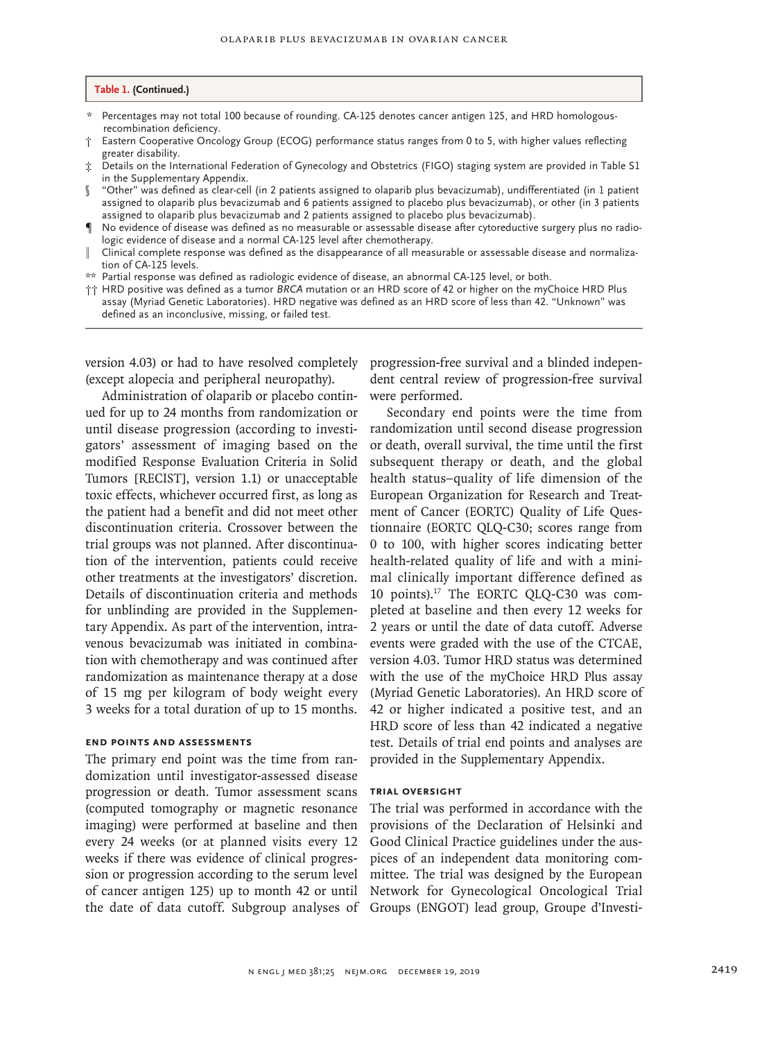#### **Table 1. (Continued.)**

- \* Percentages may not total 100 because of rounding. CA-125 denotes cancer antigen 125, and HRD homologousrecombination deficiency.
- † Eastern Cooperative Oncology Group (ECOG) performance status ranges from 0 to 5, with higher values reflecting greater disability.
- ‡ Details on the International Federation of Gynecology and Obstetrics (FIGO) staging system are provided in Table S1 in the Supplementary Appendix.
- § "Other" was defined as clear-cell (in 2 patients assigned to olaparib plus bevacizumab), undifferentiated (in 1 patient assigned to olaparib plus bevacizumab and 6 patients assigned to placebo plus bevacizumab), or other (in 3 patients assigned to olaparib plus bevacizumab and 2 patients assigned to placebo plus bevacizumab).
- ¶ No evidence of disease was defined as no measurable or assessable disease after cytoreductive surgery plus no radiologic evidence of disease and a normal CA-125 level after chemotherapy.
- ‖ Clinical complete response was defined as the disappearance of all measurable or assessable disease and normalization of CA-125 levels.
- \*\* Partial response was defined as radiologic evidence of disease, an abnormal CA-125 level, or both.
- †† HRD positive was defined as a tumor *BRCA* mutation or an HRD score of 42 or higher on the myChoice HRD Plus assay (Myriad Genetic Laboratories). HRD negative was defined as an HRD score of less than 42. "Unknown" was defined as an inconclusive, missing, or failed test.

version 4.03) or had to have resolved completely (except alopecia and peripheral neuropathy).

Administration of olaparib or placebo continued for up to 24 months from randomization or until disease progression (according to investigators' assessment of imaging based on the modified Response Evaluation Criteria in Solid Tumors [RECIST], version 1.1) or unacceptable toxic effects, whichever occurred first, as long as the patient had a benefit and did not meet other discontinuation criteria. Crossover between the trial groups was not planned. After discontinuation of the intervention, patients could receive other treatments at the investigators' discretion. Details of discontinuation criteria and methods for unblinding are provided in the Supplementary Appendix. As part of the intervention, intravenous bevacizumab was initiated in combination with chemotherapy and was continued after randomization as maintenance therapy at a dose of 15 mg per kilogram of body weight every 3 weeks for a total duration of up to 15 months.

## **End Points and Assessments**

The primary end point was the time from randomization until investigator-assessed disease progression or death. Tumor assessment scans (computed tomography or magnetic resonance imaging) were performed at baseline and then every 24 weeks (or at planned visits every 12 weeks if there was evidence of clinical progression or progression according to the serum level of cancer antigen 125) up to month 42 or until the date of data cutoff. Subgroup analyses of Groups (ENGOT) lead group, Groupe d'Investi-

progression-free survival and a blinded independent central review of progression-free survival were performed.

Secondary end points were the time from randomization until second disease progression or death, overall survival, the time until the first subsequent therapy or death, and the global health status–quality of life dimension of the European Organization for Research and Treatment of Cancer (EORTC) Quality of Life Questionnaire (EORTC QLQ-C30; scores range from 0 to 100, with higher scores indicating better health-related quality of life and with a minimal clinically important difference defined as 10 points).17 The EORTC QLQ-C30 was completed at baseline and then every 12 weeks for 2 years or until the date of data cutoff. Adverse events were graded with the use of the CTCAE, version 4.03. Tumor HRD status was determined with the use of the myChoice HRD Plus assay (Myriad Genetic Laboratories). An HRD score of 42 or higher indicated a positive test, and an HRD score of less than 42 indicated a negative test. Details of trial end points and analyses are provided in the Supplementary Appendix.

## **Trial Oversight**

The trial was performed in accordance with the provisions of the Declaration of Helsinki and Good Clinical Practice guidelines under the auspices of an independent data monitoring committee. The trial was designed by the European Network for Gynecological Oncological Trial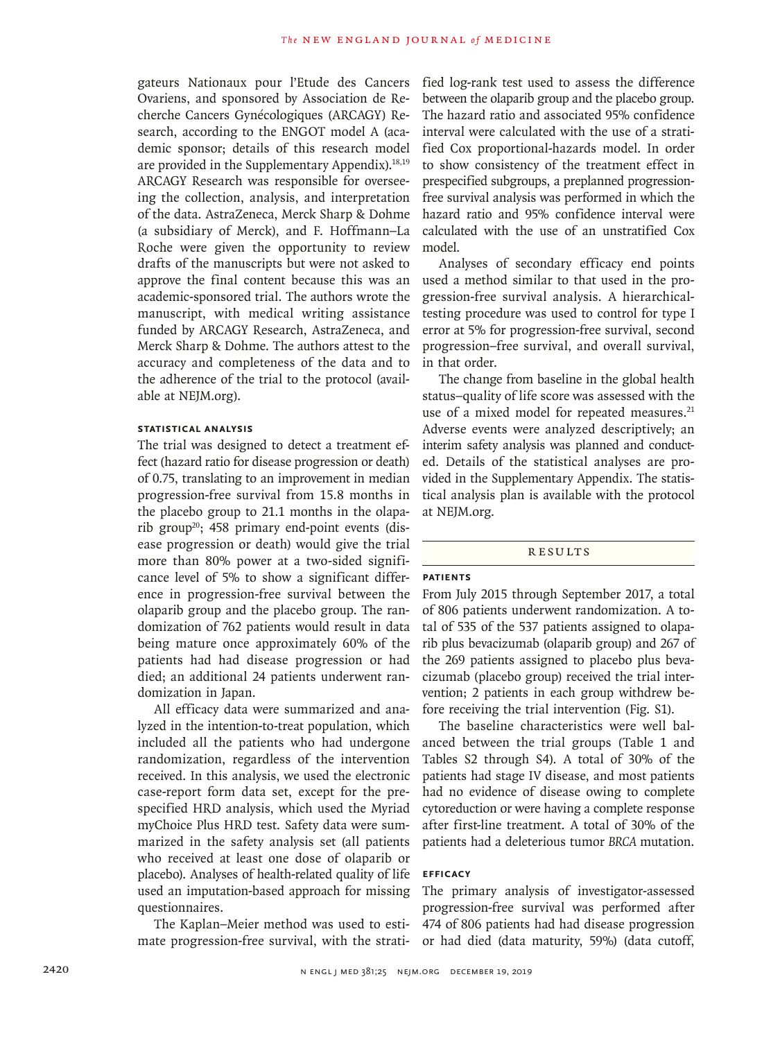gateurs Nationaux pour l'Etude des Cancers Ovariens, and sponsored by Association de Recherche Cancers Gynécologiques (ARCAGY) Research, according to the ENGOT model A (academic sponsor; details of this research model are provided in the Supplementary Appendix). $18,19$ ARCAGY Research was responsible for overseeing the collection, analysis, and interpretation of the data. AstraZeneca, Merck Sharp & Dohme (a subsidiary of Merck), and F. Hoffmann–La Roche were given the opportunity to review drafts of the manuscripts but were not asked to approve the final content because this was an academic-sponsored trial. The authors wrote the manuscript, with medical writing assistance funded by ARCAGY Research, AstraZeneca, and Merck Sharp & Dohme. The authors attest to the accuracy and completeness of the data and to the adherence of the trial to the protocol (available at NEJM.org).

# **Statistical Analysis**

The trial was designed to detect a treatment effect (hazard ratio for disease progression or death) of 0.75, translating to an improvement in median progression-free survival from 15.8 months in the placebo group to 21.1 months in the olaparib group<sup>20</sup>; 458 primary end-point events (disease progression or death) would give the trial more than 80% power at a two-sided significance level of 5% to show a significant difference in progression-free survival between the olaparib group and the placebo group. The randomization of 762 patients would result in data being mature once approximately 60% of the patients had had disease progression or had died; an additional 24 patients underwent randomization in Japan.

All efficacy data were summarized and analyzed in the intention-to-treat population, which included all the patients who had undergone randomization, regardless of the intervention received. In this analysis, we used the electronic case-report form data set, except for the prespecified HRD analysis, which used the Myriad myChoice Plus HRD test. Safety data were summarized in the safety analysis set (all patients who received at least one dose of olaparib or placebo). Analyses of health-related quality of life used an imputation-based approach for missing questionnaires.

The Kaplan–Meier method was used to estimate progression-free survival, with the stratified log-rank test used to assess the difference between the olaparib group and the placebo group. The hazard ratio and associated 95% confidence interval were calculated with the use of a stratified Cox proportional-hazards model. In order to show consistency of the treatment effect in prespecified subgroups, a preplanned progressionfree survival analysis was performed in which the hazard ratio and 95% confidence interval were calculated with the use of an unstratified Cox model.

Analyses of secondary efficacy end points used a method similar to that used in the progression-free survival analysis. A hierarchicaltesting procedure was used to control for type I error at 5% for progression-free survival, second progression–free survival, and overall survival, in that order.

The change from baseline in the global health status–quality of life score was assessed with the use of a mixed model for repeated measures.<sup>21</sup> Adverse events were analyzed descriptively; an interim safety analysis was planned and conducted. Details of the statistical analyses are provided in the Supplementary Appendix. The statistical analysis plan is available with the protocol at NEJM.org.

# **RESULTS**

#### **Patients**

From July 2015 through September 2017, a total of 806 patients underwent randomization. A total of 535 of the 537 patients assigned to olaparib plus bevacizumab (olaparib group) and 267 of the 269 patients assigned to placebo plus bevacizumab (placebo group) received the trial intervention; 2 patients in each group withdrew before receiving the trial intervention (Fig. S1).

The baseline characteristics were well balanced between the trial groups (Table 1 and Tables S2 through S4). A total of 30% of the patients had stage IV disease, and most patients had no evidence of disease owing to complete cytoreduction or were having a complete response after first-line treatment. A total of 30% of the patients had a deleterious tumor *BRCA* mutation.

# **Efficacy**

The primary analysis of investigator-assessed progression-free survival was performed after 474 of 806 patients had had disease progression or had died (data maturity, 59%) (data cutoff,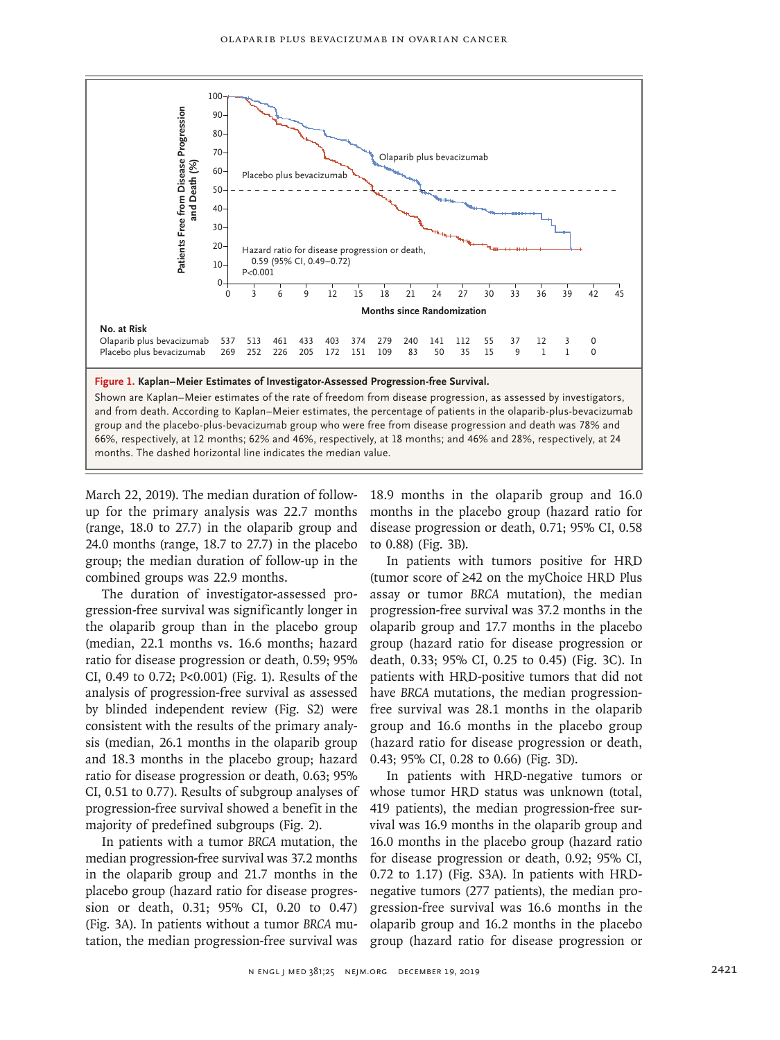

March 22, 2019). The median duration of followup for the primary analysis was 22.7 months (range, 18.0 to 27.7) in the olaparib group and 24.0 months (range, 18.7 to 27.7) in the placebo group; the median duration of follow-up in the combined groups was 22.9 months.

The duration of investigator-assessed progression-free survival was significantly longer in the olaparib group than in the placebo group (median, 22.1 months vs. 16.6 months; hazard ratio for disease progression or death, 0.59; 95% CI, 0.49 to 0.72; P<0.001) (Fig. 1). Results of the analysis of progression-free survival as assessed by blinded independent review (Fig. S2) were consistent with the results of the primary analysis (median, 26.1 months in the olaparib group and 18.3 months in the placebo group; hazard ratio for disease progression or death, 0.63; 95% CI, 0.51 to 0.77). Results of subgroup analyses of progression-free survival showed a benefit in the majority of predefined subgroups (Fig. 2).

In patients with a tumor *BRCA* mutation, the median progression-free survival was 37.2 months in the olaparib group and 21.7 months in the placebo group (hazard ratio for disease progression or death, 0.31; 95% CI, 0.20 to 0.47) (Fig. 3A). In patients without a tumor *BRCA* mutation, the median progression-free survival was 18.9 months in the olaparib group and 16.0 months in the placebo group (hazard ratio for disease progression or death, 0.71; 95% CI, 0.58 to 0.88) (Fig. 3B).

In patients with tumors positive for HRD (tumor score of ≥42 on the myChoice HRD Plus assay or tumor *BRCA* mutation), the median progression-free survival was 37.2 months in the olaparib group and 17.7 months in the placebo group (hazard ratio for disease progression or death, 0.33; 95% CI, 0.25 to 0.45) (Fig. 3C). In patients with HRD-positive tumors that did not have *BRCA* mutations, the median progressionfree survival was 28.1 months in the olaparib group and 16.6 months in the placebo group (hazard ratio for disease progression or death, 0.43; 95% CI, 0.28 to 0.66) (Fig. 3D).

In patients with HRD-negative tumors or whose tumor HRD status was unknown (total, 419 patients), the median progression-free survival was 16.9 months in the olaparib group and 16.0 months in the placebo group (hazard ratio for disease progression or death, 0.92; 95% CI, 0.72 to 1.17) (Fig. S3A). In patients with HRDnegative tumors (277 patients), the median progression-free survival was 16.6 months in the olaparib group and 16.2 months in the placebo group (hazard ratio for disease progression or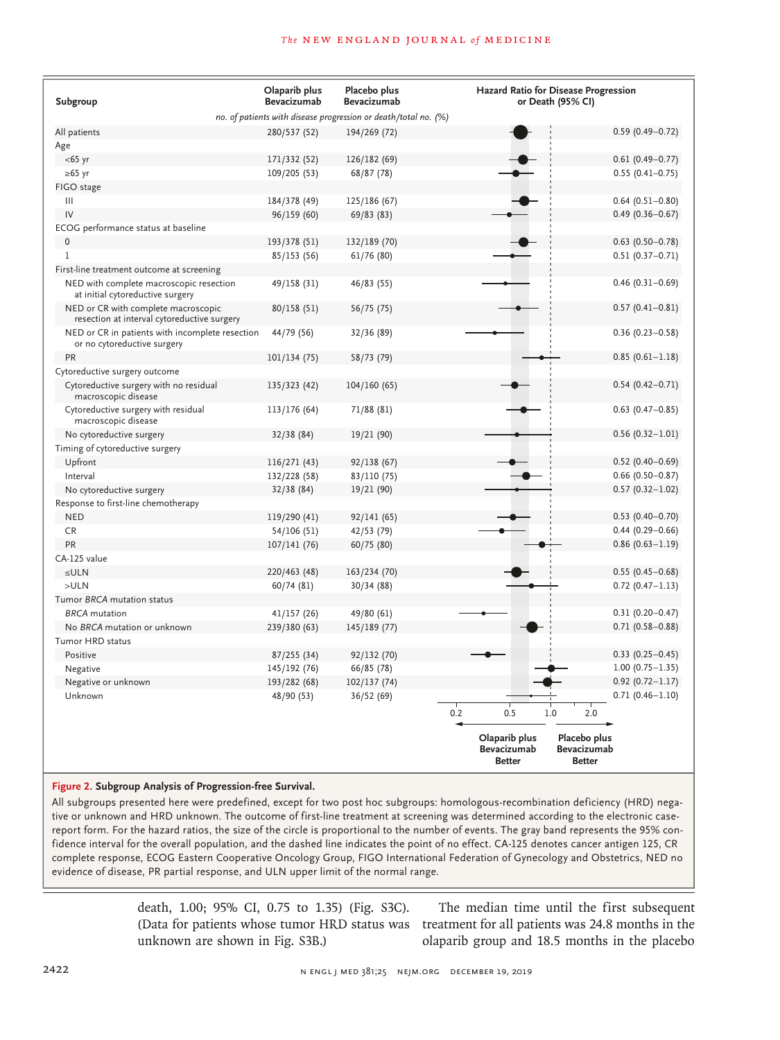| Subgroup                                                                           | Olaparib plus<br><b>Bevacizumab</b> | Placebo plus<br><b>Bevacizumab</b> | Hazard Ratio for Disease Progression<br>or Death (95% CI)                                     |                        |  |  |  |  |  |
|------------------------------------------------------------------------------------|-------------------------------------|------------------------------------|-----------------------------------------------------------------------------------------------|------------------------|--|--|--|--|--|
| no. of patients with disease progression or death/total no. (%)                    |                                     |                                    |                                                                                               |                        |  |  |  |  |  |
| All patients                                                                       | 280/537 (52)                        | 194/269 (72)                       |                                                                                               | $0.59(0.49 - 0.72)$    |  |  |  |  |  |
| Age                                                                                |                                     |                                    |                                                                                               |                        |  |  |  |  |  |
| $<$ 65 yr                                                                          | 171/332 (52)                        | 126/182 (69)                       |                                                                                               | $0.61(0.49 - 0.77)$    |  |  |  |  |  |
| $\geq 65$ yr                                                                       | 109/205 (53)                        | 68/87 (78)                         |                                                                                               | $0.55(0.41 - 0.75)$    |  |  |  |  |  |
| FIGO stage                                                                         |                                     |                                    |                                                                                               |                        |  |  |  |  |  |
| $\mathbf{III}$                                                                     | 184/378 (49)                        | 125/186 (67)                       |                                                                                               | $0.64(0.51 - 0.80)$    |  |  |  |  |  |
| IV                                                                                 | 96/159 (60)                         | 69/83(83)                          |                                                                                               | $0.49(0.36 - 0.67)$    |  |  |  |  |  |
| ECOG performance status at baseline                                                |                                     |                                    |                                                                                               |                        |  |  |  |  |  |
| $\mathbf 0$                                                                        | 193/378 (51)                        | 132/189 (70)                       |                                                                                               | $0.63$ $(0.50 - 0.78)$ |  |  |  |  |  |
| $\mathbf{1}$                                                                       | 85/153 (56)                         | 61/76(80)                          |                                                                                               | $0.51(0.37 - 0.71)$    |  |  |  |  |  |
| First-line treatment outcome at screening                                          |                                     |                                    |                                                                                               |                        |  |  |  |  |  |
| NED with complete macroscopic resection<br>at initial cytoreductive surgery        | 49/158 (31)                         | 46/83 (55)                         |                                                                                               | $0.46(0.31 - 0.69)$    |  |  |  |  |  |
| NED or CR with complete macroscopic<br>resection at interval cytoreductive surgery | 80/158 (51)                         | 56/75 (75)                         |                                                                                               | $0.57(0.41 - 0.81)$    |  |  |  |  |  |
| NED or CR in patients with incomplete resection<br>or no cytoreductive surgery     | 44/79 (56)                          | 32/36 (89)                         |                                                                                               | $0.36(0.23 - 0.58)$    |  |  |  |  |  |
| PR                                                                                 | 101/134 (75)                        | 58/73 (79)                         |                                                                                               | $0.85(0.61 - 1.18)$    |  |  |  |  |  |
| Cytoreductive surgery outcome                                                      |                                     |                                    |                                                                                               |                        |  |  |  |  |  |
| Cytoreductive surgery with no residual<br>macroscopic disease                      | 135/323 (42)                        | 104/160 (65)                       |                                                                                               | $0.54(0.42 - 0.71)$    |  |  |  |  |  |
| Cytoreductive surgery with residual<br>macroscopic disease                         | 113/176 (64)                        | 71/88 (81)                         |                                                                                               | $0.63$ $(0.47 - 0.85)$ |  |  |  |  |  |
| No cytoreductive surgery                                                           | 32/38 (84)                          | 19/21 (90)                         |                                                                                               | $0.56(0.32 - 1.01)$    |  |  |  |  |  |
| Timing of cytoreductive surgery                                                    |                                     |                                    |                                                                                               |                        |  |  |  |  |  |
| Upfront                                                                            | 116/271 (43)                        | 92/138 (67)                        |                                                                                               | $0.52(0.40 - 0.69)$    |  |  |  |  |  |
| Interval                                                                           | 132/228 (58)                        | 83/110 (75)                        |                                                                                               | $0.66$ (0.50-0.87)     |  |  |  |  |  |
| No cytoreductive surgery                                                           | 32/38(84)                           | 19/21 (90)                         |                                                                                               | $0.57(0.32 - 1.02)$    |  |  |  |  |  |
| Response to first-line chemotherapy                                                |                                     |                                    |                                                                                               |                        |  |  |  |  |  |
| <b>NED</b>                                                                         | 119/290 (41)                        | 92/141 (65)                        |                                                                                               | $0.53$ (0.40-0.70)     |  |  |  |  |  |
| <b>CR</b>                                                                          | 54/106 (51)                         | 42/53 (79)                         |                                                                                               | $0.44(0.29 - 0.66)$    |  |  |  |  |  |
| PR                                                                                 | 107/141 (76)                        | 60/75 (80)                         |                                                                                               | $0.86$ (0.63-1.19)     |  |  |  |  |  |
| CA-125 value                                                                       |                                     |                                    |                                                                                               |                        |  |  |  |  |  |
| $\leq$ ULN                                                                         | 220/463 (48)                        | 163/234 (70)                       |                                                                                               | $0.55(0.45 - 0.68)$    |  |  |  |  |  |
| >ULN                                                                               | 60/74(81)                           | 30/34(88)                          |                                                                                               | $0.72$ (0.47-1.13)     |  |  |  |  |  |
| Tumor BRCA mutation status                                                         |                                     |                                    |                                                                                               |                        |  |  |  |  |  |
| <b>BRCA</b> mutation                                                               | 41/157 (26)                         | 49/80 (61)                         |                                                                                               | $0.31(0.20 - 0.47)$    |  |  |  |  |  |
| No BRCA mutation or unknown                                                        | 239/380 (63)                        | 145/189 (77)                       |                                                                                               | $0.71(0.58 - 0.88)$    |  |  |  |  |  |
| Tumor HRD status                                                                   |                                     |                                    |                                                                                               |                        |  |  |  |  |  |
| Positive                                                                           | 87/255 (34)                         | 92/132 (70)                        |                                                                                               | $0.33(0.25 - 0.45)$    |  |  |  |  |  |
| Negative                                                                           | 145/192 (76)                        | 66/85 (78)                         |                                                                                               | $1.00(0.75 - 1.35)$    |  |  |  |  |  |
| Negative or unknown                                                                | 193/282 (68)                        | 102/137 (74)                       |                                                                                               | $0.92(0.72 - 1.17)$    |  |  |  |  |  |
| Unknown                                                                            | 48/90 (53)                          | 36/52(69)                          |                                                                                               | $0.71(0.46 - 1.10)$    |  |  |  |  |  |
|                                                                                    |                                     | 0.2                                | 0.5<br>1.0<br>2.0                                                                             |                        |  |  |  |  |  |
|                                                                                    |                                     |                                    | Olaparib plus<br>Placebo plus<br>Bevacizumab<br>Bevacizumab<br><b>Better</b><br><b>Better</b> |                        |  |  |  |  |  |

#### **Figure 2. Subgroup Analysis of Progression-free Survival.**

All subgroups presented here were predefined, except for two post hoc subgroups: homologous-recombination deficiency (HRD) negative or unknown and HRD unknown. The outcome of first-line treatment at screening was determined according to the electronic casereport form. For the hazard ratios, the size of the circle is proportional to the number of events. The gray band represents the 95% confidence interval for the overall population, and the dashed line indicates the point of no effect. CA-125 denotes cancer antigen 125, CR complete response, ECOG Eastern Cooperative Oncology Group, FIGO International Federation of Gynecology and Obstetrics, NED no evidence of disease, PR partial response, and ULN upper limit of the normal range.

> death, 1.00; 95% CI, 0.75 to 1.35) (Fig. S3C). unknown are shown in Fig. S3B.)

(Data for patients whose tumor HRD status was treatment for all patients was 24.8 months in the The median time until the first subsequent olaparib group and 18.5 months in the placebo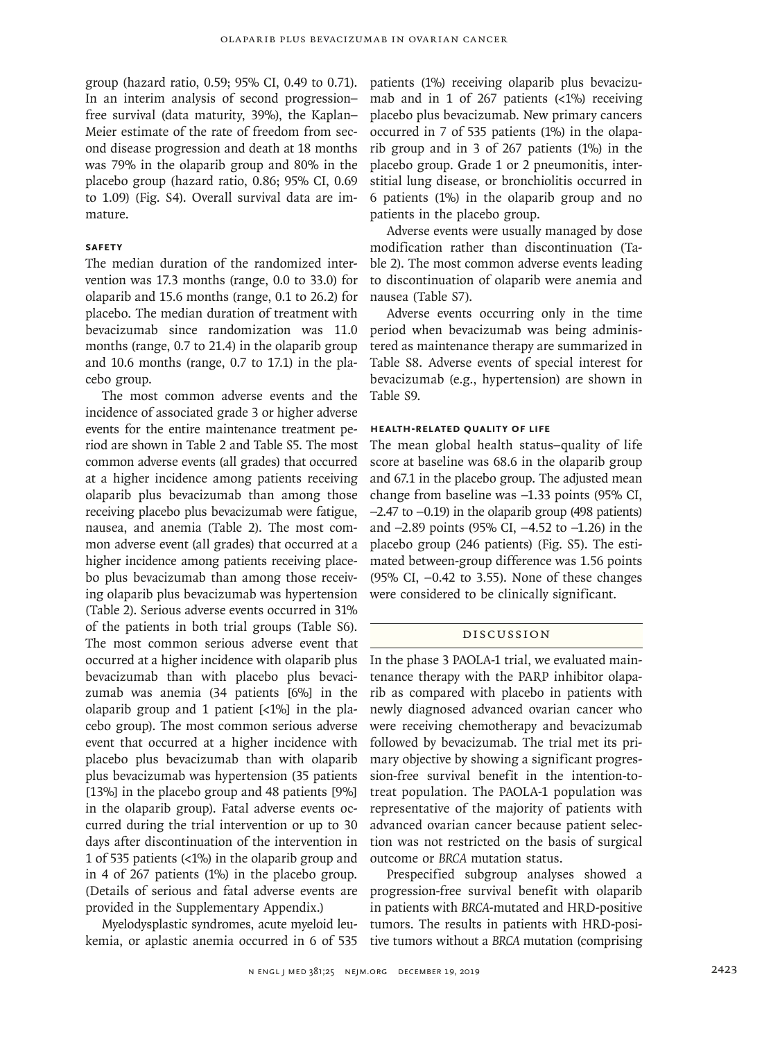group (hazard ratio, 0.59; 95% CI, 0.49 to 0.71). In an interim analysis of second progression– free survival (data maturity, 39%), the Kaplan– Meier estimate of the rate of freedom from second disease progression and death at 18 months was 79% in the olaparib group and 80% in the placebo group (hazard ratio, 0.86; 95% CI, 0.69 to 1.09) (Fig. S4). Overall survival data are immature.

# **Safety**

The median duration of the randomized intervention was 17.3 months (range, 0.0 to 33.0) for olaparib and 15.6 months (range, 0.1 to 26.2) for placebo. The median duration of treatment with bevacizumab since randomization was 11.0 months (range, 0.7 to 21.4) in the olaparib group and 10.6 months (range, 0.7 to 17.1) in the placebo group.

The most common adverse events and the incidence of associated grade 3 or higher adverse events for the entire maintenance treatment period are shown in Table 2 and Table S5. The most common adverse events (all grades) that occurred at a higher incidence among patients receiving olaparib plus bevacizumab than among those receiving placebo plus bevacizumab were fatigue, nausea, and anemia (Table 2). The most common adverse event (all grades) that occurred at a higher incidence among patients receiving placebo plus bevacizumab than among those receiving olaparib plus bevacizumab was hypertension (Table 2). Serious adverse events occurred in 31% of the patients in both trial groups (Table S6). The most common serious adverse event that occurred at a higher incidence with olaparib plus bevacizumab than with placebo plus bevacizumab was anemia (34 patients [6%] in the olaparib group and 1 patient [<1%] in the placebo group). The most common serious adverse event that occurred at a higher incidence with placebo plus bevacizumab than with olaparib plus bevacizumab was hypertension (35 patients [13%] in the placebo group and 48 patients [9%] in the olaparib group). Fatal adverse events occurred during the trial intervention or up to 30 days after discontinuation of the intervention in 1 of 535 patients (<1%) in the olaparib group and in 4 of 267 patients (1%) in the placebo group. (Details of serious and fatal adverse events are provided in the Supplementary Appendix.)

Myelodysplastic syndromes, acute myeloid leukemia, or aplastic anemia occurred in 6 of 535 patients (1%) receiving olaparib plus bevacizumab and in 1 of 267 patients  $\left($  <1%) receiving placebo plus bevacizumab. New primary cancers occurred in 7 of 535 patients (1%) in the olaparib group and in 3 of 267 patients (1%) in the placebo group. Grade 1 or 2 pneumonitis, interstitial lung disease, or bronchiolitis occurred in 6 patients (1%) in the olaparib group and no patients in the placebo group.

Adverse events were usually managed by dose modification rather than discontinuation (Table 2). The most common adverse events leading to discontinuation of olaparib were anemia and nausea (Table S7).

Adverse events occurring only in the time period when bevacizumab was being administered as maintenance therapy are summarized in Table S8. Adverse events of special interest for bevacizumab (e.g., hypertension) are shown in Table S9.

# **Health-Related Quality of Life**

The mean global health status–quality of life score at baseline was 68.6 in the olaparib group and 67.1 in the placebo group. The adjusted mean change from baseline was −1.33 points (95% CI, −2.47 to −0.19) in the olaparib group (498 patients) and −2.89 points (95% CI, −4.52 to −1.26) in the placebo group (246 patients) (Fig. S5). The estimated between-group difference was 1.56 points (95% CI, −0.42 to 3.55). None of these changes were considered to be clinically significant.

# Discussion

In the phase 3 PAOLA-1 trial, we evaluated maintenance therapy with the PARP inhibitor olaparib as compared with placebo in patients with newly diagnosed advanced ovarian cancer who were receiving chemotherapy and bevacizumab followed by bevacizumab. The trial met its primary objective by showing a significant progression-free survival benefit in the intention-totreat population. The PAOLA-1 population was representative of the majority of patients with advanced ovarian cancer because patient selection was not restricted on the basis of surgical outcome or *BRCA* mutation status.

Prespecified subgroup analyses showed a progression-free survival benefit with olaparib in patients with *BRCA*-mutated and HRD-positive tumors. The results in patients with HRD-positive tumors without a *BRCA* mutation (comprising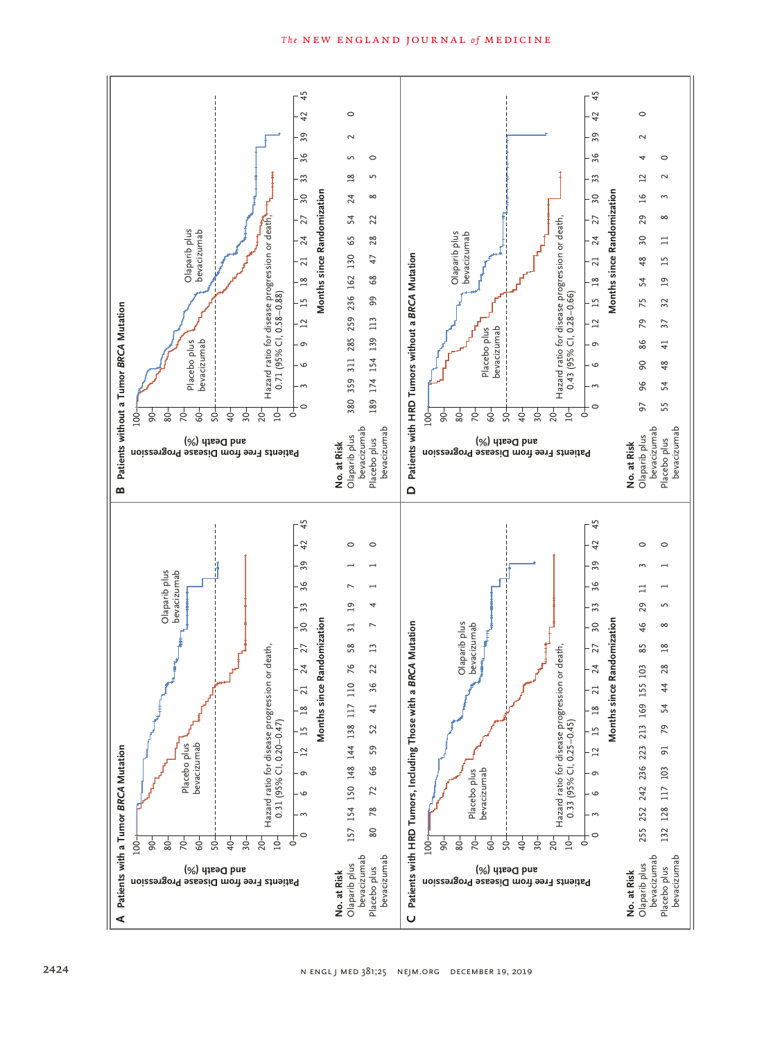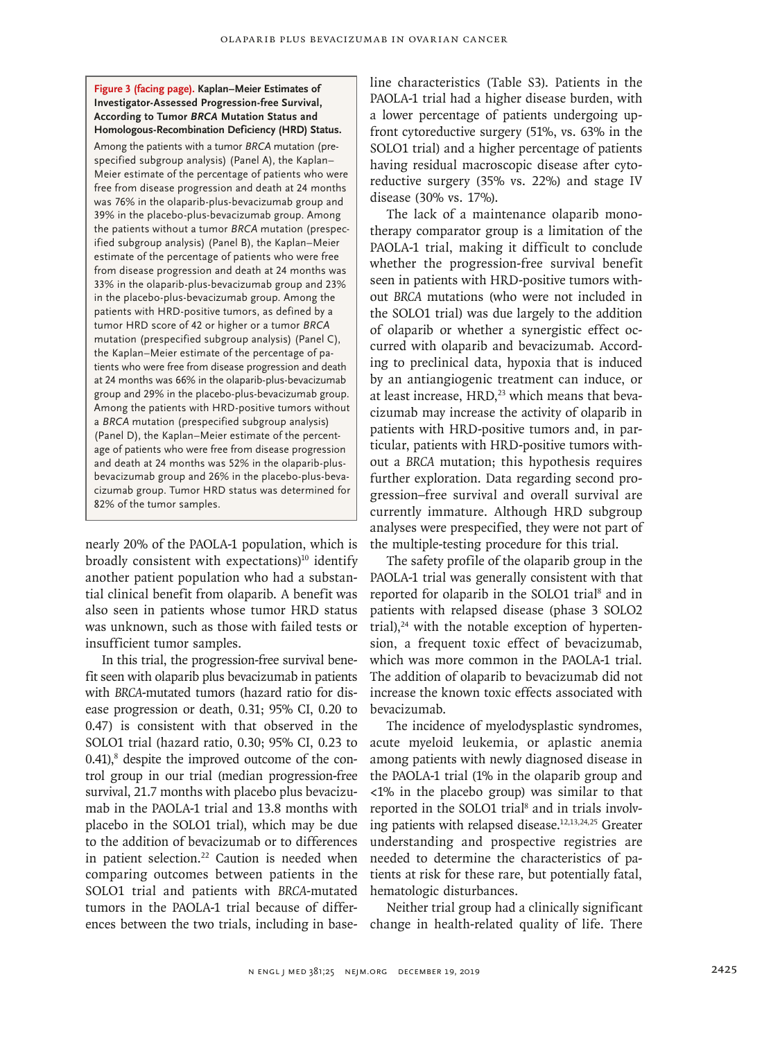## **Figure 3 (facing page). Kaplan–Meier Estimates of Investigator-Assessed Progression-free Survival, According to Tumor** *BRCA* **Mutation Status and Homologous-Recombination Deficiency (HRD) Status.**

Among the patients with a tumor *BRCA* mutation (prespecified subgroup analysis) (Panel A), the Kaplan– Meier estimate of the percentage of patients who were free from disease progression and death at 24 months was 76% in the olaparib-plus-bevacizumab group and 39% in the placebo-plus-bevacizumab group. Among the patients without a tumor *BRCA* mutation (prespecified subgroup analysis) (Panel B), the Kaplan–Meier estimate of the percentage of patients who were free from disease progression and death at 24 months was 33% in the olaparib-plus-bevacizumab group and 23% in the placebo-plus-bevacizumab group. Among the patients with HRD-positive tumors, as defined by a tumor HRD score of 42 or higher or a tumor *BRCA* mutation (prespecified subgroup analysis) (Panel C), the Kaplan–Meier estimate of the percentage of patients who were free from disease progression and death at 24 months was 66% in the olaparib-plus-bevacizumab group and 29% in the placebo-plus-bevacizumab group. Among the patients with HRD-positive tumors without a *BRCA* mutation (prespecified subgroup analysis) (Panel D), the Kaplan–Meier estimate of the percentage of patients who were free from disease progression and death at 24 months was 52% in the olaparib-plusbevacizumab group and 26% in the placebo-plus-bevacizumab group. Tumor HRD status was determined for 82% of the tumor samples.

nearly 20% of the PAOLA-1 population, which is broadly consistent with expectations $10$ <sup>10</sup> identify another patient population who had a substantial clinical benefit from olaparib. A benefit was also seen in patients whose tumor HRD status was unknown, such as those with failed tests or insufficient tumor samples.

In this trial, the progression-free survival benefit seen with olaparib plus bevacizumab in patients with *BRCA*-mutated tumors (hazard ratio for disease progression or death, 0.31; 95% CI, 0.20 to 0.47) is consistent with that observed in the SOLO1 trial (hazard ratio, 0.30; 95% CI, 0.23 to 0.41),<sup>8</sup> despite the improved outcome of the control group in our trial (median progression-free survival, 21.7 months with placebo plus bevacizumab in the PAOLA-1 trial and 13.8 months with placebo in the SOLO1 trial), which may be due to the addition of bevacizumab or to differences in patient selection.<sup>22</sup> Caution is needed when comparing outcomes between patients in the SOLO1 trial and patients with *BRCA*-mutated tumors in the PAOLA-1 trial because of differences between the two trials, including in baseline characteristics (Table S3). Patients in the PAOLA-1 trial had a higher disease burden, with a lower percentage of patients undergoing upfront cytoreductive surgery (51%, vs. 63% in the SOLO1 trial) and a higher percentage of patients having residual macroscopic disease after cytoreductive surgery (35% vs. 22%) and stage IV disease (30% vs. 17%).

The lack of a maintenance olaparib monotherapy comparator group is a limitation of the PAOLA-1 trial, making it difficult to conclude whether the progression-free survival benefit seen in patients with HRD-positive tumors without *BRCA* mutations (who were not included in the SOLO1 trial) was due largely to the addition of olaparib or whether a synergistic effect occurred with olaparib and bevacizumab. According to preclinical data, hypoxia that is induced by an antiangiogenic treatment can induce, or at least increase, HRD,<sup>23</sup> which means that bevacizumab may increase the activity of olaparib in patients with HRD-positive tumors and, in particular, patients with HRD-positive tumors without a *BRCA* mutation; this hypothesis requires further exploration. Data regarding second progression–free survival and overall survival are currently immature. Although HRD subgroup analyses were prespecified, they were not part of the multiple-testing procedure for this trial.

The safety profile of the olaparib group in the PAOLA-1 trial was generally consistent with that reported for olaparib in the SOLO1 trial<sup>8</sup> and in patients with relapsed disease (phase 3 SOLO2 trial), $24$  with the notable exception of hypertension, a frequent toxic effect of bevacizumab, which was more common in the PAOLA-1 trial. The addition of olaparib to bevacizumab did not increase the known toxic effects associated with bevacizumab.

The incidence of myelodysplastic syndromes, acute myeloid leukemia, or aplastic anemia among patients with newly diagnosed disease in the PAOLA-1 trial (1% in the olaparib group and <1% in the placebo group) was similar to that reported in the SOLO1 trial<sup>8</sup> and in trials involving patients with relapsed disease.12,13,24,25 Greater understanding and prospective registries are needed to determine the characteristics of patients at risk for these rare, but potentially fatal, hematologic disturbances.

Neither trial group had a clinically significant change in health-related quality of life. There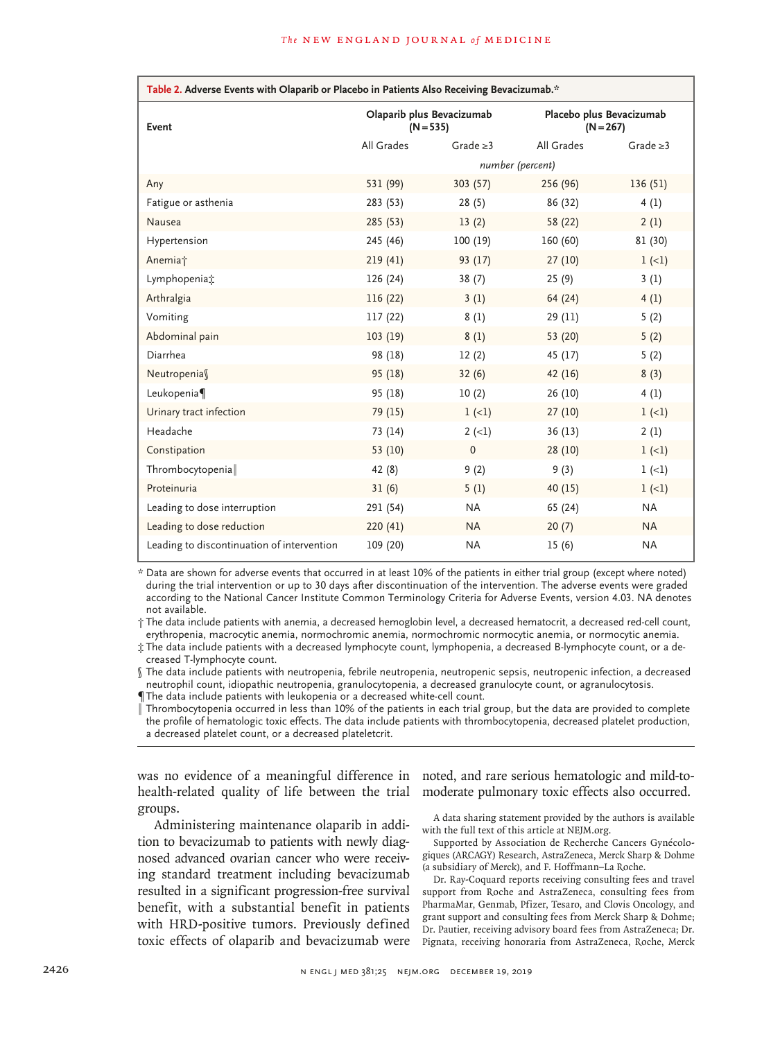| Table 2. Adverse Events with Olaparib or Placebo in Patients Also Receiving Bevacizumab.* |                                          |                |                                         |                |  |  |  |  |
|-------------------------------------------------------------------------------------------|------------------------------------------|----------------|-----------------------------------------|----------------|--|--|--|--|
| Event                                                                                     | Olaparib plus Bevacizumab<br>$(N = 535)$ |                | Placebo plus Bevacizumab<br>$(N = 267)$ |                |  |  |  |  |
|                                                                                           | All Grades                               | Grade $\geq$ 3 | All Grades                              | Grade $\geq 3$ |  |  |  |  |
|                                                                                           | number (percent)                         |                |                                         |                |  |  |  |  |
| Any                                                                                       | 531 (99)                                 | 303(57)        | 256 (96)                                | 136(51)        |  |  |  |  |
| Fatigue or asthenia                                                                       | 283 (53)                                 | 28(5)          | 86 (32)                                 | 4(1)           |  |  |  |  |
| Nausea                                                                                    | 285 (53)                                 | 13(2)          | 58 (22)                                 | 2(1)           |  |  |  |  |
| Hypertension                                                                              | 245 (46)                                 | 100(19)        | 160(60)                                 | 81 (30)        |  |  |  |  |
| Anemia <sup>+</sup>                                                                       | 219(41)                                  | 93(17)         | 27(10)                                  | $1 (-1)$       |  |  |  |  |
| Lymphopenia:                                                                              | 126 (24)                                 | 38(7)          | 25(9)                                   | 3(1)           |  |  |  |  |
| Arthralgia                                                                                | 116(22)                                  | 3(1)           | 64(24)                                  | 4(1)           |  |  |  |  |
| Vomiting                                                                                  | 117 (22)                                 | 8(1)           | 29 (11)                                 | 5(2)           |  |  |  |  |
| Abdominal pain                                                                            | 103(19)                                  | 8(1)           | 53 (20)                                 | 5(2)           |  |  |  |  |
| Diarrhea                                                                                  | 98 (18)                                  | 12(2)          | 45 (17)                                 | 5(2)           |  |  |  |  |
| Neutropenias                                                                              | 95(18)                                   | 32(6)          | 42(16)                                  | 8(3)           |  |  |  |  |
| Leukopenia                                                                                | 95 (18)                                  | 10(2)          | 26 (10)                                 | 4(1)           |  |  |  |  |
| Urinary tract infection                                                                   | 79 (15)                                  | $1 (-1)$       | 27(10)                                  | $1 (-1)$       |  |  |  |  |
| Headache                                                                                  | 73 (14)                                  | $2 (-1)$       | 36(13)                                  | 2(1)           |  |  |  |  |
| Constipation                                                                              | 53 (10)                                  | $\mathbf 0$    | 28(10)                                  | $1 (-1)$       |  |  |  |  |
| Thrombocytopenia                                                                          | 42 (8)                                   | 9(2)           | 9(3)                                    | $1 (-1)$       |  |  |  |  |
| Proteinuria                                                                               | 31(6)                                    | 5(1)           | 40(15)                                  | $1 (-1)$       |  |  |  |  |
| Leading to dose interruption                                                              | 291 (54)                                 | NA             | 65 (24)                                 | <b>NA</b>      |  |  |  |  |
| Leading to dose reduction                                                                 | 220(41)                                  | <b>NA</b>      | 20(7)                                   | <b>NA</b>      |  |  |  |  |
| Leading to discontinuation of intervention                                                | 109 (20)                                 | <b>NA</b>      | 15(6)                                   | <b>NA</b>      |  |  |  |  |

\* Data are shown for adverse events that occurred in at least 10% of the patients in either trial group (except where noted) during the trial intervention or up to 30 days after discontinuation of the intervention. The adverse events were graded according to the National Cancer Institute Common Terminology Criteria for Adverse Events, version 4.03. NA denotes not available.

† The data include patients with anemia, a decreased hemoglobin level, a decreased hematocrit, a decreased red-cell count, erythropenia, macrocytic anemia, normochromic anemia, normochromic normocytic anemia, or normocytic anemia.

‡ The data include patients with a decreased lymphocyte count, lymphopenia, a decreased B-lymphocyte count, or a decreased T-lymphocyte count.

§ The data include patients with neutropenia, febrile neutropenia, neutropenic sepsis, neutropenic infection, a decreased neutrophil count, idiopathic neutropenia, granulocytopenia, a decreased granulocyte count, or agranulocytosis.

¶The data include patients with leukopenia or a decreased white-cell count.

Thrombocytopenia occurred in less than 10% of the patients in each trial group, but the data are provided to complete the profile of hematologic toxic effects. The data include patients with thrombocytopenia, decreased platelet production, a decreased platelet count, or a decreased plateletcrit.

was no evidence of a meaningful difference in noted, and rare serious hematologic and mild-tohealth-related quality of life between the trial moderate pulmonary toxic effects also occurred. groups.

Administering maintenance olaparib in addition to bevacizumab to patients with newly diagnosed advanced ovarian cancer who were receiving standard treatment including bevacizumab resulted in a significant progression-free survival benefit, with a substantial benefit in patients with HRD-positive tumors. Previously defined toxic effects of olaparib and bevacizumab were

A data sharing statement provided by the authors is available with the full text of this article at NEJM.org.

Supported by Association de Recherche Cancers Gynécologiques (ARCAGY) Research, AstraZeneca, Merck Sharp & Dohme (a subsidiary of Merck), and F. Hoffmann–La Roche.

Dr. Ray-Coquard reports receiving consulting fees and travel support from Roche and AstraZeneca, consulting fees from PharmaMar, Genmab, Pfizer, Tesaro, and Clovis Oncology, and grant support and consulting fees from Merck Sharp & Dohme; Dr. Pautier, receiving advisory board fees from AstraZeneca; Dr. Pignata, receiving honoraria from AstraZeneca, Roche, Merck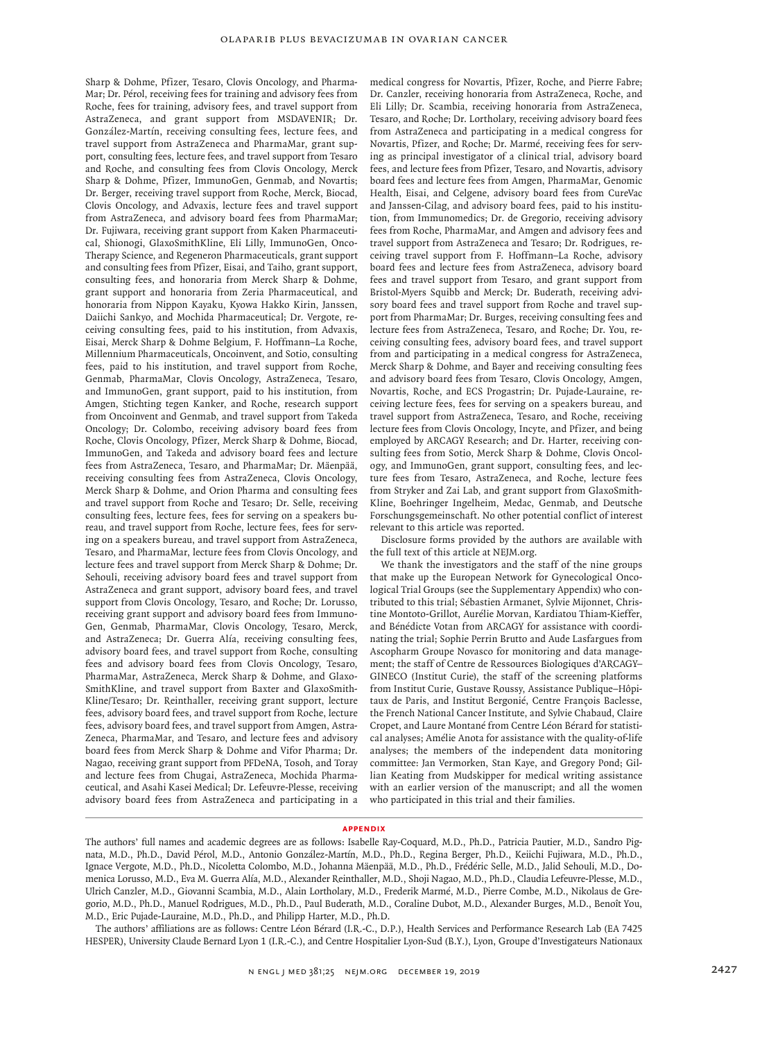Sharp & Dohme, Pfizer, Tesaro, Clovis Oncology, and Pharma-Mar; Dr. Pérol, receiving fees for training and advisory fees from Roche, fees for training, advisory fees, and travel support from AstraZeneca, and grant support from MSDAVENIR; Dr. González-Martín, receiving consulting fees, lecture fees, and travel support from AstraZeneca and PharmaMar, grant support, consulting fees, lecture fees, and travel support from Tesaro and Roche, and consulting fees from Clovis Oncology, Merck Sharp & Dohme, Pfizer, ImmunoGen, Genmab, and Novartis; Dr. Berger, receiving travel support from Roche, Merck, Biocad, Clovis Oncology, and Advaxis, lecture fees and travel support from AstraZeneca, and advisory board fees from PharmaMar; Dr. Fujiwara, receiving grant support from Kaken Pharmaceutical, Shionogi, GlaxoSmithKline, Eli Lilly, ImmunoGen, Onco-Therapy Science, and Regeneron Pharmaceuticals, grant support and consulting fees from Pfizer, Eisai, and Taiho, grant support, consulting fees, and honoraria from Merck Sharp & Dohme, grant support and honoraria from Zeria Pharmaceutical, and honoraria from Nippon Kayaku, Kyowa Hakko Kirin, Janssen, Daiichi Sankyo, and Mochida Pharmaceutical; Dr. Vergote, receiving consulting fees, paid to his institution, from Advaxis, Eisai, Merck Sharp & Dohme Belgium, F. Hoffmann–La Roche, Millennium Pharmaceuticals, Oncoinvent, and Sotio, consulting fees, paid to his institution, and travel support from Roche, Genmab, PharmaMar, Clovis Oncology, AstraZeneca, Tesaro, and ImmunoGen, grant support, paid to his institution, from Amgen, Stichting tegen Kanker, and Roche, research support from Oncoinvent and Genmab, and travel support from Takeda Oncology; Dr. Colombo, receiving advisory board fees from Roche, Clovis Oncology, Pfizer, Merck Sharp & Dohme, Biocad, ImmunoGen, and Takeda and advisory board fees and lecture fees from AstraZeneca, Tesaro, and PharmaMar; Dr. Mäenpää, receiving consulting fees from AstraZeneca, Clovis Oncology, Merck Sharp & Dohme, and Orion Pharma and consulting fees and travel support from Roche and Tesaro; Dr. Selle, receiving consulting fees, lecture fees, fees for serving on a speakers bureau, and travel support from Roche, lecture fees, fees for serving on a speakers bureau, and travel support from AstraZeneca, Tesaro, and PharmaMar, lecture fees from Clovis Oncology, and lecture fees and travel support from Merck Sharp & Dohme; Dr. Sehouli, receiving advisory board fees and travel support from AstraZeneca and grant support, advisory board fees, and travel support from Clovis Oncology, Tesaro, and Roche; Dr. Lorusso, receiving grant support and advisory board fees from Immuno-Gen, Genmab, PharmaMar, Clovis Oncology, Tesaro, Merck, and AstraZeneca; Dr. Guerra Alía, receiving consulting fees, advisory board fees, and travel support from Roche, consulting fees and advisory board fees from Clovis Oncology, Tesaro, PharmaMar, AstraZeneca, Merck Sharp & Dohme, and Glaxo-SmithKline, and travel support from Baxter and GlaxoSmith-Kline/Tesaro; Dr. Reinthaller, receiving grant support, lecture fees, advisory board fees, and travel support from Roche, lecture fees, advisory board fees, and travel support from Amgen, Astra-Zeneca, PharmaMar, and Tesaro, and lecture fees and advisory board fees from Merck Sharp & Dohme and Vifor Pharma; Dr. Nagao, receiving grant support from PFDeNA, Tosoh, and Toray and lecture fees from Chugai, AstraZeneca, Mochida Pharmaceutical, and Asahi Kasei Medical; Dr. Lefeuvre-Plesse, receiving advisory board fees from AstraZeneca and participating in a

medical congress for Novartis, Pfizer, Roche, and Pierre Fabre; Dr. Canzler, receiving honoraria from AstraZeneca, Roche, and Eli Lilly; Dr. Scambia, receiving honoraria from AstraZeneca, Tesaro, and Roche; Dr. Lortholary, receiving advisory board fees from AstraZeneca and participating in a medical congress for Novartis, Pfizer, and Roche; Dr. Marmé, receiving fees for serving as principal investigator of a clinical trial, advisory board fees, and lecture fees from Pfizer, Tesaro, and Novartis, advisory board fees and lecture fees from Amgen, PharmaMar, Genomic Health, Eisai, and Celgene, advisory board fees from CureVac and Janssen-Cilag, and advisory board fees, paid to his institution, from Immunomedics; Dr. de Gregorio, receiving advisory fees from Roche, PharmaMar, and Amgen and advisory fees and travel support from AstraZeneca and Tesaro; Dr. Rodrigues, receiving travel support from F. Hoffmann–La Roche, advisory board fees and lecture fees from AstraZeneca, advisory board fees and travel support from Tesaro, and grant support from Bristol-Myers Squibb and Merck; Dr. Buderath, receiving advisory board fees and travel support from Roche and travel support from PharmaMar; Dr. Burges, receiving consulting fees and lecture fees from AstraZeneca, Tesaro, and Roche; Dr. You, receiving consulting fees, advisory board fees, and travel support from and participating in a medical congress for AstraZeneca, Merck Sharp & Dohme, and Bayer and receiving consulting fees and advisory board fees from Tesaro, Clovis Oncology, Amgen, Novartis, Roche, and ECS Progastrin; Dr. Pujade-Lauraine, receiving lecture fees, fees for serving on a speakers bureau, and travel support from AstraZeneca, Tesaro, and Roche, receiving lecture fees from Clovis Oncology, Incyte, and Pfizer, and being employed by ARCAGY Research; and Dr. Harter, receiving consulting fees from Sotio, Merck Sharp & Dohme, Clovis Oncology, and ImmunoGen, grant support, consulting fees, and lecture fees from Tesaro, AstraZeneca, and Roche, lecture fees from Stryker and Zai Lab, and grant support from GlaxoSmith-Kline, Boehringer Ingelheim, Medac, Genmab, and Deutsche Forschungsgemeinschaft. No other potential conflict of interest relevant to this article was reported.

Disclosure forms provided by the authors are available with the full text of this article at NEJM.org.

We thank the investigators and the staff of the nine groups that make up the European Network for Gynecological Oncological Trial Groups (see the Supplementary Appendix) who contributed to this trial; Sébastien Armanet, Sylvie Mijonnet, Christine Montoto-Grillot, Aurélie Morvan, Kardiatou Thiam-Kieffer, and Bénédicte Votan from ARCAGY for assistance with coordinating the trial; Sophie Perrin Brutto and Aude Lasfargues from Ascopharm Groupe Novasco for monitoring and data management; the staff of Centre de Ressources Biologiques d'ARCAGY– GINECO (Institut Curie), the staff of the screening platforms from Institut Curie, Gustave Roussy, Assistance Publique–Hôpitaux de Paris, and Institut Bergonié, Centre François Baclesse, the French National Cancer Institute, and Sylvie Chabaud, Claire Cropet, and Laure Montané from Centre Léon Bérard for statistical analyses; Amélie Anota for assistance with the quality-of-life analyses; the members of the independent data monitoring committee: Jan Vermorken, Stan Kaye, and Gregory Pond; Gillian Keating from Mudskipper for medical writing assistance with an earlier version of the manuscript; and all the women who participated in this trial and their families.

#### **Appendix**

The authors' full names and academic degrees are as follows: Isabelle Ray-Coquard, M.D., Ph.D., Patricia Pautier, M.D., Sandro Pignata, M.D., Ph.D., David Pérol, M.D., Antonio González-Martín, M.D., Ph.D., Regina Berger, Ph.D., Keiichi Fujiwara, M.D., Ph.D., Ignace Vergote, M.D., Ph.D., Nicoletta Colombo, M.D., Johanna Mäenpää, M.D., Ph.D., Frédéric Selle, M.D., Jalid Sehouli, M.D., Domenica Lorusso, M.D., Eva M. Guerra Alía, M.D., Alexander Reinthaller, M.D., Shoji Nagao, M.D., Ph.D., Claudia Lefeuvre-Plesse, M.D., Ulrich Canzler, M.D., Giovanni Scambia, M.D., Alain Lortholary, M.D., Frederik Marmé, M.D., Pierre Combe, M.D., Nikolaus de Gregorio, M.D., Ph.D., Manuel Rodrigues, M.D., Ph.D., Paul Buderath, M.D., Coraline Dubot, M.D., Alexander Burges, M.D., Benoît You, M.D., Eric Pujade-Lauraine, M.D., Ph.D., and Philipp Harter, M.D., Ph.D.

The authors' affiliations are as follows: Centre Léon Bérard (I.R.-C., D.P.), Health Services and Performance Research Lab (EA 7425 HESPER), University Claude Bernard Lyon 1 (I.R.-C.), and Centre Hospitalier Lyon-Sud (B.Y.), Lyon, Groupe d'Investigateurs Nationaux